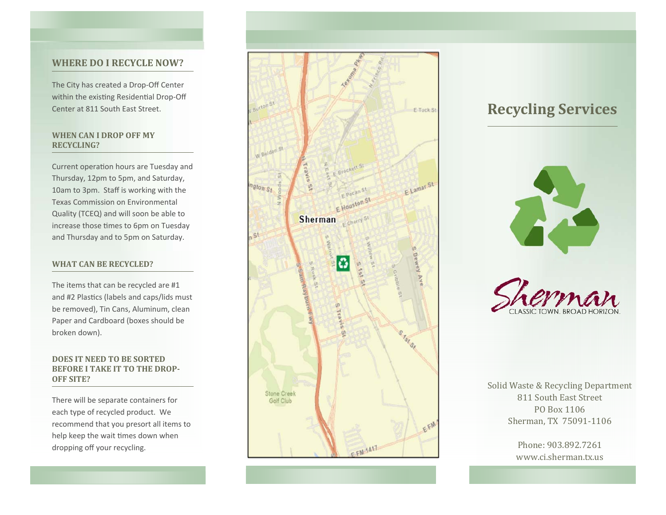### **WHERE DO I RECYCLE NOW?**

The City has created a Drop‐Off Center within the existing Residential Drop-Off Center at 811 South East Street.

### **WHEN CAN I DROP OFF MY RECYCLING?**

Current operation hours are Tuesday and Thursday, 12pm to 5pm, and Saturday, 10am to 3pm. Staff is working with the Texas Commission on Environmental Quality (TCEQ) and will soon be able to increase those times to 6pm on Tuesday and Thursday and to 5pm on Saturday.

### **WHAT CAN BE RECYCLED?**

The items that can be recycled are #1 and #2 Plastics (labels and caps/lids must be removed), Tin Cans, Aluminum, clean Paper and Cardboard (boxes should be broken down).

### **DOES IT NEED TO BE SORTED BEFORE I TAKE IT TO THE DROP‐ OFF SITE?**

There will be separate containers for each type of recycled product. We recommend that you presort all items to help keep the wait times down when dropping off your recycling.



# **Recycling Services**





Solid Waste & Recycling Department 811 South East Street PO Box 1106 Sherman, TX 75091-1106

> Phone: 903.892.7261 www.ci.sherman.tx.us